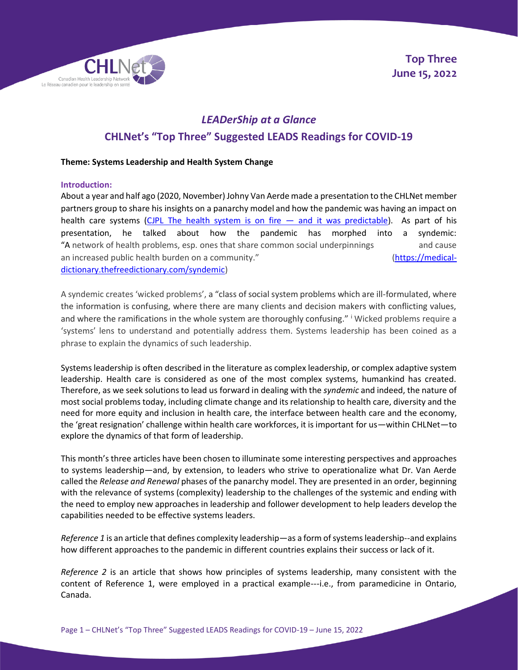

# *LEADerShip at a Glance* **CHLNet's "Top Three" Suggested LEADS Readings for COVID-19**

# **Theme: Systems Leadership and Health System Change**

## **Introduction:**

About a year and half ago (2020, November) Johny Van Aerde made a presentation to the CHLNet member partners group to share his insights on a panarchy model and how the pandemic was having an impact on health care systems [\(CJPL The health system is on fire](https://cjpl.ca/jvafire.html)  $-$  and it was predictable). As part of his presentation, he talked about how the pandemic has morphed into a syndemic: "A network of health problems, esp. ones that share common social underpinnings and cause an increased public health burden on a community." [\(https://medical](https://medical-dictionary.thefreedictionary.com/syndemic)[dictionary.thefreedictionary.com/syndemic\)](https://medical-dictionary.thefreedictionary.com/syndemic)

A syndemic creates 'wicked problems', a "class of social system problems which are ill-formulated, where the information is confusing, where there are many clients and decision makers with conflicting values, and where the ramifications in the whole system are thoroughly confusing." <sup>i</sup> Wicked problems require a 'systems' lens to understand and potentially address them. Systems leadership has been coined as a phrase to explain the dynamics of such leadership.

Systems leadership is often described in the literature as complex leadership, or complex adaptive system leadership. Health care is considered as one of the most complex systems, humankind has created. Therefore, as we seek solutions to lead us forward in dealing with the *syndemic* and indeed, the nature of most social problems today, including climate change and its relationship to health care, diversity and the need for more equity and inclusion in health care, the interface between health care and the economy, the 'great resignation' challenge within health care workforces, it is important for us—within CHLNet—to explore the dynamics of that form of leadership.

This month's three articles have been chosen to illuminate some interesting perspectives and approaches to systems leadership—and, by extension, to leaders who strive to operationalize what Dr. Van Aerde called the *Release and Renewal* phases of the panarchy model. They are presented in an order, beginning with the relevance of systems (complexity) leadership to the challenges of the systemic and ending with the need to employ new approaches in leadership and follower development to help leaders develop the capabilities needed to be effective systems leaders.

*Reference 1* is an article that defines complexity leadership—as a form of systems leadership--and explains how different approaches to the pandemic in different countries explains their success or lack of it.

*Reference 2* is an article that shows how principles of systems leadership, many consistent with the content of Reference 1, were employed in a practical example---i.e., from paramedicine in Ontario, Canada.

Page 1 – CHLNet's "Top Three" Suggested LEADS Readings for COVID-19 – June 15, 2022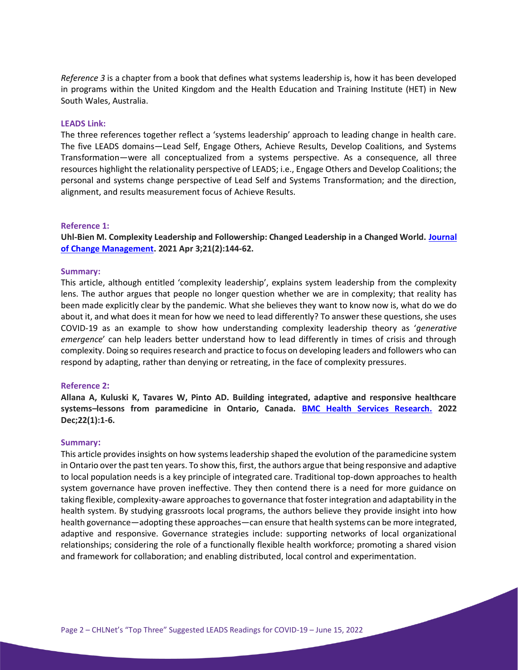*Reference 3* is a chapter from a book that defines what systems leadership is, how it has been developed in programs within the United Kingdom and the Health Education and Training Institute (HET) in New South Wales, Australia.

### **LEADS Link:**

The three references together reflect a 'systems leadership' approach to leading change in health care. The five LEADS domains—Lead Self, Engage Others, Achieve Results, Develop Coalitions, and Systems Transformation—were all conceptualized from a systems perspective. As a consequence, all three resources highlight the relationality perspective of LEADS; i.e., Engage Others and Develop Coalitions; the personal and systems change perspective of Lead Self and Systems Transformation; and the direction, alignment, and results measurement focus of Achieve Results.

## **Reference 1:**

**Uhl-Bien M. Complexity Leadership and Followership: Changed Leadership in a Changed World. [Journal](https://www.tandfonline.com/doi/abs/10.1080/14697017.2021.1917490)  [of Change Management.](https://www.tandfonline.com/doi/abs/10.1080/14697017.2021.1917490) 2021 Apr 3;21(2):144-62.**

#### **Summary:**

This article, although entitled 'complexity leadership', explains system leadership from the complexity lens. The author argues that people no longer question whether we are in complexity; that reality has been made explicitly clear by the pandemic. What she believes they want to know now is, what do we do about it, and what does it mean for how we need to lead differently? To answer these questions, she uses COVID-19 as an example to show how understanding complexity leadership theory as '*generative emergence*' can help leaders better understand how to lead differently in times of crisis and through complexity. Doing so requires research and practice to focus on developing leaders and followers who can respond by adapting, rather than denying or retreating, in the face of complexity pressures.

# **Reference 2:**

**Allana A, Kuluski K, Tavares W, Pinto AD. Building integrated, adaptive and responsive healthcare systems–lessons from paramedicine in Ontario, Canada. [BMC Health Services Research.](https://bmchealthservres.biomedcentral.com/articles/10.1186/s12913-022-07856-z) 2022 Dec;22(1):1-6.**

#### **Summary:**

This article provides insights on how systems leadership shaped the evolution of the paramedicine system in Ontario over the past ten years. To show this, first, the authors argue that being responsive and adaptive to local population needs is a key principle of integrated care. Traditional top-down approaches to health system governance have proven ineffective. They then contend there is a need for more guidance on taking flexible, complexity-aware approaches to governance that foster integration and adaptability in the health system. By studying grassroots local programs, the authors believe they provide insight into how health governance—adopting these approaches—can ensure that health systems can be more integrated, adaptive and responsive. Governance strategies include: supporting networks of local organizational relationships; considering the role of a functionally flexible health workforce; promoting a shared vision and framework for collaboration; and enabling distributed, local control and experimentation.